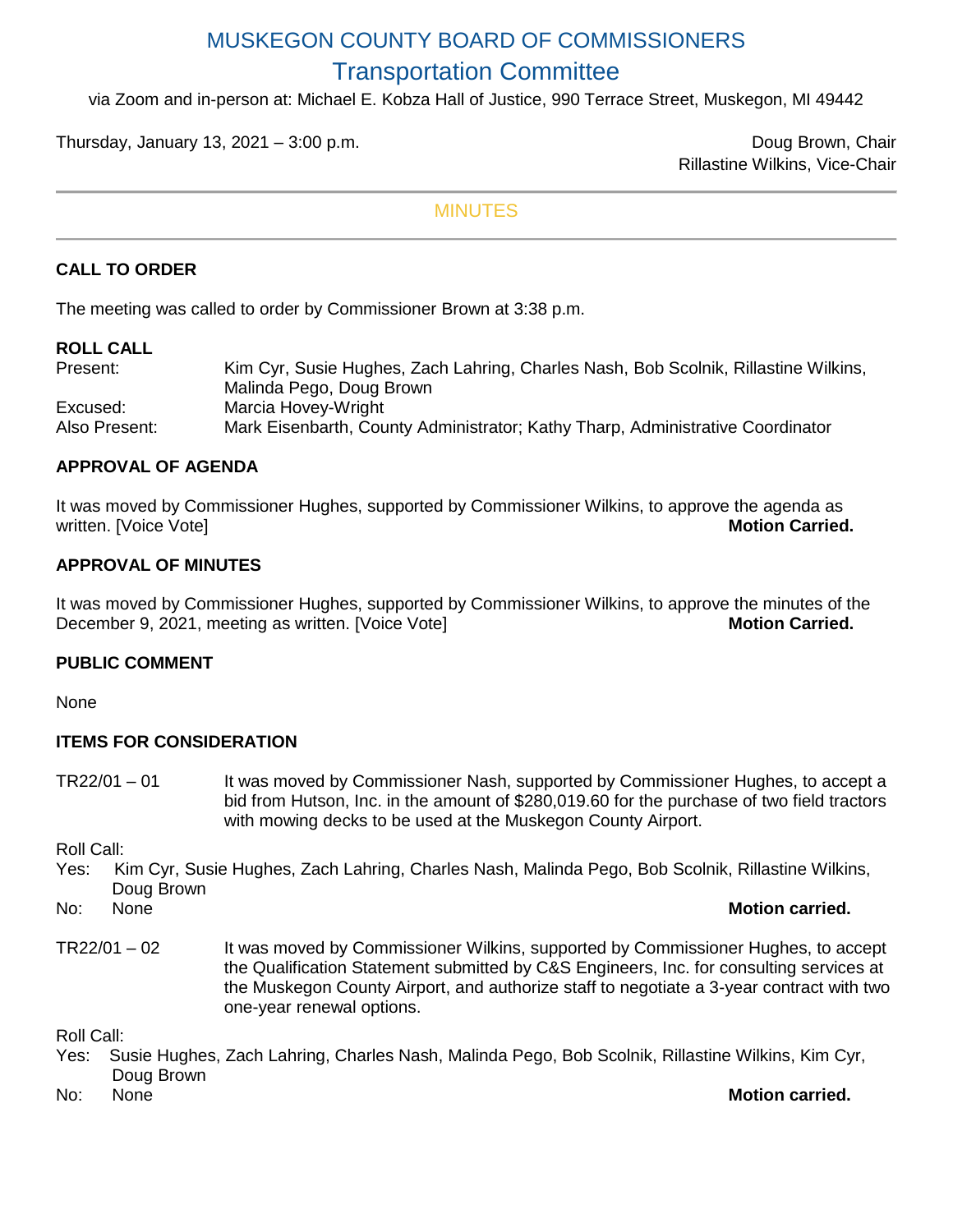# MUSKEGON COUNTY BOARD OF COMMISSIONERS Transportation Committee

via Zoom and in-person at: Michael E. Kobza Hall of Justice, 990 Terrace Street, Muskegon, MI 49442

Thursday, January 13, 2021 – 3:00 p.m.

Rillastine Wilkins, Vice-Chair

#### MINUTES

# **CALL TO ORDER**

The meeting was called to order by Commissioner Brown at 3:38 p.m.

#### **ROLL CALL**

Present: Kim Cyr, Susie Hughes, Zach Lahring, Charles Nash, Bob Scolnik, Rillastine Wilkins, Malinda Pego, Doug Brown Excused: Marcia Hovey-Wright Also Present: Mark Eisenbarth, County Administrator; Kathy Tharp, Administrative Coordinator

### **APPROVAL OF AGENDA**

It was moved by Commissioner Hughes, supported by Commissioner Wilkins, to approve the agenda as written. [Voice Vote] **Motion Carried. Motion Carried. Motion Carried. Motion Carried.** 

### **APPROVAL OF MINUTES**

It was moved by Commissioner Hughes, supported by Commissioner Wilkins, to approve the minutes of the December 9, 2021, meeting as written. [Voice Vote] **Motion Carried. Motion Carried.** 

### **PUBLIC COMMENT**

**None** 

### **ITEMS FOR CONSIDERATION**

TR22/01 – 01 It was moved by Commissioner Nash, supported by Commissioner Hughes, to accept a bid from Hutson, Inc. in the amount of \$280,019.60 for the purchase of two field tractors with mowing decks to be used at the Muskegon County Airport.

Roll Call:

Yes: Kim Cyr, Susie Hughes, Zach Lahring, Charles Nash, Malinda Pego, Bob Scolnik, Rillastine Wilkins, Doug Brown

No: None **Motion carried.**

TR22/01 – 02 It was moved by Commissioner Wilkins, supported by Commissioner Hughes, to accept the Qualification Statement submitted by C&S Engineers, Inc. for consulting services at the Muskegon County Airport, and authorize staff to negotiate a 3-year contract with two one-year renewal options.

Roll Call:

- Yes: Susie Hughes, Zach Lahring, Charles Nash, Malinda Pego, Bob Scolnik, Rillastine Wilkins, Kim Cyr, Doug Brown
- 

### No: None **Motion carried.**